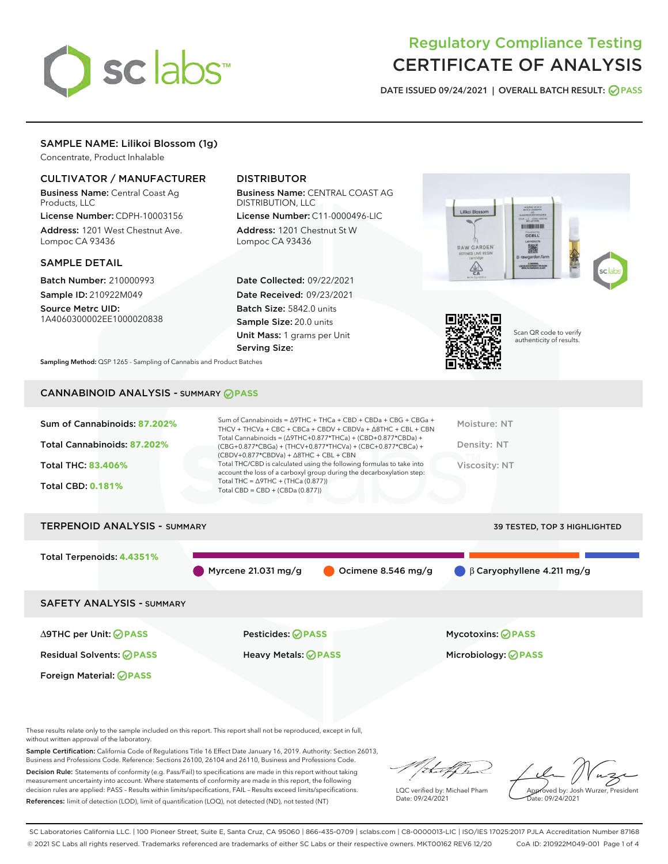

## Regulatory Compliance Testing CERTIFICATE OF ANALYSIS

DATE ISSUED 09/24/2021 | OVERALL BATCH RESULT: @ PASS

## SAMPLE NAME: Lilikoi Blossom (1g)

Concentrate, Product Inhalable

## CULTIVATOR / MANUFACTURER

Business Name: Central Coast Ag Products, LLC

License Number: CDPH-10003156 Address: 1201 West Chestnut Ave. Lompoc CA 93436

#### SAMPLE DETAIL

Batch Number: 210000993 Sample ID: 210922M049

Source Metrc UID: 1A4060300002EE1000020838

Foreign Material: **PASS**

## DISTRIBUTOR

Business Name: CENTRAL COAST AG DISTRIBUTION, LLC

License Number: C11-0000496-LIC Address: 1201 Chestnut St W Lompoc CA 93436

Date Collected: 09/22/2021 Date Received: 09/23/2021 Batch Size: 5842.0 units Sample Size: 20.0 units Unit Mass: 1 grams per Unit Serving Size:





Scan QR code to verify authenticity of results.

Sampling Method: QSP 1265 - Sampling of Cannabis and Product Batches

## CANNABINOID ANALYSIS - SUMMARY **PASS**

| Sum of Cannabinoids: 87.202%      | Sum of Cannabinoids = $\triangle$ 9THC + THCa + CBD + CBDa + CBG + CBGa +<br>THCV + THCVa + CBC + CBCa + CBDV + CBDVa + $\land$ 8THC + CBL + CBN                                       | Moisture: NT         |
|-----------------------------------|----------------------------------------------------------------------------------------------------------------------------------------------------------------------------------------|----------------------|
| Total Cannabinoids: 87.202%       | Total Cannabinoids = $(\Delta 9THC + 0.877*THCa) + (CBD+0.877*CBDa) +$<br>(CBG+0.877*CBGa) + (THCV+0.877*THCVa) + (CBC+0.877*CBCa) +<br>$(CBDV+0.877*CBDVa) + \Delta 8THC + CBL + CBN$ | Density: NT          |
| <b>Total THC: 83.406%</b>         | Total THC/CBD is calculated using the following formulas to take into<br>account the loss of a carboxyl group during the decarboxylation step:                                         | <b>Viscosity: NT</b> |
| <b>Total CBD: 0.181%</b>          | Total THC = $\triangle$ 9THC + (THCa (0.877))<br>Total CBD = $CBD + (CBDa (0.877))$                                                                                                    |                      |
| TEBBELLOIR ALLAI VOIC<br><u>.</u> |                                                                                                                                                                                        |                      |

# TERPENOID ANALYSIS - SUMMARY 39 TESTED, TOP 3 HIGHLIGHTED Total Terpenoids: **4.4351%** Myrcene 21.031 mg/g  $\bigcirc$  Ocimene 8.546 mg/g  $\bigcirc$  β Caryophyllene 4.211 mg/g SAFETY ANALYSIS - SUMMARY ∆9THC per Unit: **PASS** Pesticides: **PASS** Mycotoxins: **PASS**

Residual Solvents: **PASS** Heavy Metals: **PASS** Microbiology: **PASS**

These results relate only to the sample included on this report. This report shall not be reproduced, except in full, without written approval of the laboratory.

Sample Certification: California Code of Regulations Title 16 Effect Date January 16, 2019. Authority: Section 26013, Business and Professions Code. Reference: Sections 26100, 26104 and 26110, Business and Professions Code.

Decision Rule: Statements of conformity (e.g. Pass/Fail) to specifications are made in this report without taking measurement uncertainty into account. Where statements of conformity are made in this report, the following decision rules are applied: PASS – Results within limits/specifications, FAIL – Results exceed limits/specifications. References: limit of detection (LOD), limit of quantification (LOQ), not detected (ND), not tested (NT)

that f Is

LQC verified by: Michael Pham Date: 09/24/2021

Approved by: Josh Wurzer, President ate: 09/24/2021

SC Laboratories California LLC. | 100 Pioneer Street, Suite E, Santa Cruz, CA 95060 | 866-435-0709 | sclabs.com | C8-0000013-LIC | ISO/IES 17025:2017 PJLA Accreditation Number 87168 © 2021 SC Labs all rights reserved. Trademarks referenced are trademarks of either SC Labs or their respective owners. MKT00162 REV6 12/20 CoA ID: 210922M049-001 Page 1 of 4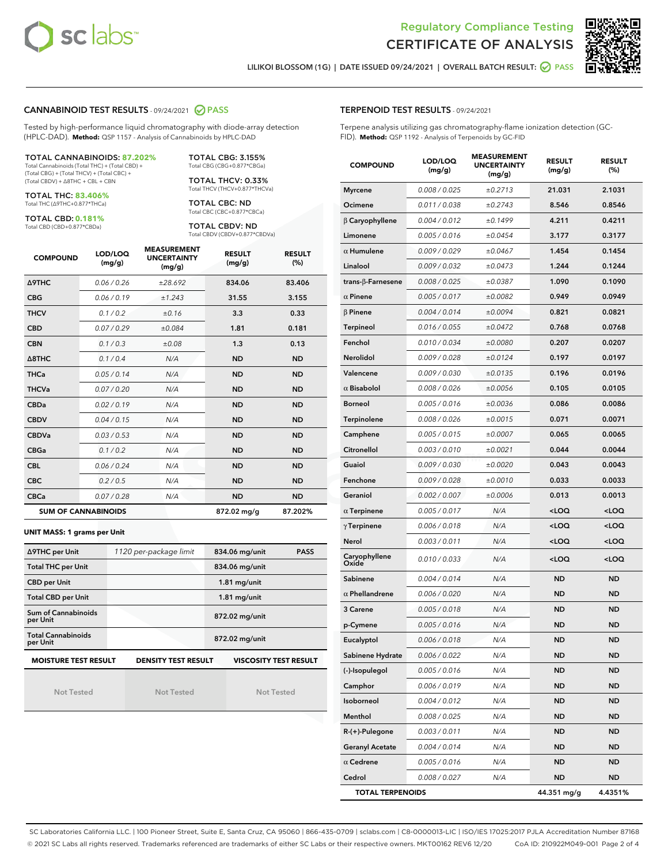



LILIKOI BLOSSOM (1G) | DATE ISSUED 09/24/2021 | OVERALL BATCH RESULT: **⊘** PASS

#### CANNABINOID TEST RESULTS - 09/24/2021 2 PASS

Tested by high-performance liquid chromatography with diode-array detection (HPLC-DAD). **Method:** QSP 1157 - Analysis of Cannabinoids by HPLC-DAD

#### TOTAL CANNABINOIDS: **87.202%**

Total Cannabinoids (Total THC) + (Total CBD) + (Total CBG) + (Total THCV) + (Total CBC) + (Total CBDV) + ∆8THC + CBL + CBN

TOTAL THC: **83.406%** Total THC (∆9THC+0.877\*THCa)

TOTAL CBD: **0.181%**

Total CBD (CBD+0.877\*CBDa)

TOTAL CBG: 3.155% Total CBG (CBG+0.877\*CBGa)

TOTAL THCV: 0.33% Total THCV (THCV+0.877\*THCVa)

TOTAL CBC: ND Total CBC (CBC+0.877\*CBCa)

TOTAL CBDV: ND Total CBDV (CBDV+0.877\*CBDVa)

| <b>COMPOUND</b>  | LOD/LOQ<br>(mg/g)          | <b>MEASUREMENT</b><br><b>UNCERTAINTY</b><br>(mg/g) | <b>RESULT</b><br>(mg/g) | <b>RESULT</b><br>(%) |
|------------------|----------------------------|----------------------------------------------------|-------------------------|----------------------|
| <b>A9THC</b>     | 0.06 / 0.26                | ±28.692                                            | 834.06                  | 83.406               |
| <b>CBG</b>       | 0.06 / 0.19                | ±1.243                                             | 31.55                   | 3.155                |
| <b>THCV</b>      | 0.1 / 0.2                  | ±0.16                                              | 3.3                     | 0.33                 |
| <b>CBD</b>       | 0.07/0.29                  | ±0.084                                             | 1.81                    | 0.181                |
| <b>CBN</b>       | 0.1/0.3                    | ±0.08                                              | 1.3                     | 0.13                 |
| $\triangle$ 8THC | 0.1/0.4                    | N/A                                                | <b>ND</b>               | <b>ND</b>            |
| <b>THCa</b>      | 0.05/0.14                  | N/A                                                | <b>ND</b>               | <b>ND</b>            |
| <b>THCVa</b>     | 0.07/0.20                  | N/A                                                | <b>ND</b>               | <b>ND</b>            |
| <b>CBDa</b>      | 0.02/0.19                  | N/A                                                | <b>ND</b>               | <b>ND</b>            |
| <b>CBDV</b>      | 0.04 / 0.15                | N/A                                                | <b>ND</b>               | <b>ND</b>            |
| <b>CBDVa</b>     | 0.03/0.53                  | N/A                                                | <b>ND</b>               | <b>ND</b>            |
| <b>CBGa</b>      | 0.1/0.2                    | N/A                                                | <b>ND</b>               | <b>ND</b>            |
| <b>CBL</b>       | 0.06 / 0.24                | N/A                                                | <b>ND</b>               | <b>ND</b>            |
| <b>CBC</b>       | 0.2 / 0.5                  | N/A                                                | <b>ND</b>               | <b>ND</b>            |
| <b>CBCa</b>      | 0.07 / 0.28                | N/A                                                | <b>ND</b>               | <b>ND</b>            |
|                  | <b>SUM OF CANNABINOIDS</b> |                                                    | 872.02 mg/g             | 87.202%              |

#### **UNIT MASS: 1 grams per Unit**

| ∆9THC per Unit                                                                            | 1120 per-package limit | 834.06 mg/unit<br><b>PASS</b> |  |  |  |
|-------------------------------------------------------------------------------------------|------------------------|-------------------------------|--|--|--|
| <b>Total THC per Unit</b>                                                                 |                        | 834.06 mg/unit                |  |  |  |
| <b>CBD per Unit</b>                                                                       |                        | $1.81$ mg/unit                |  |  |  |
| <b>Total CBD per Unit</b>                                                                 |                        | $1.81$ mg/unit                |  |  |  |
| Sum of Cannabinoids<br>per Unit                                                           |                        | 872.02 mg/unit                |  |  |  |
| <b>Total Cannabinoids</b><br>per Unit                                                     |                        | 872.02 mg/unit                |  |  |  |
| <b>MOISTURE TEST RESULT</b><br><b>DENSITY TEST RESULT</b><br><b>VISCOSITY TEST RESULT</b> |                        |                               |  |  |  |

Not Tested

Not Tested

Not Tested

#### TERPENOID TEST RESULTS - 09/24/2021

Terpene analysis utilizing gas chromatography-flame ionization detection (GC-FID). **Method:** QSP 1192 - Analysis of Terpenoids by GC-FID

| <b>COMPOUND</b>         | LOD/LOQ<br>(mg/g) | <b>MEASUREMENT</b><br><b>UNCERTAINTY</b><br>(mg/g) | <b>RESULT</b><br>(mg/g)                         | <b>RESULT</b><br>$(\%)$ |
|-------------------------|-------------------|----------------------------------------------------|-------------------------------------------------|-------------------------|
| <b>Myrcene</b>          | 0.008 / 0.025     | ±0.2713                                            | 21.031                                          | 2.1031                  |
| Ocimene                 | 0.011 / 0.038     | ±0.2743                                            | 8.546                                           | 0.8546                  |
| $\beta$ Caryophyllene   | 0.004 / 0.012     | ±0.1499                                            | 4.211                                           | 0.4211                  |
| Limonene                | 0.005 / 0.016     | ±0.0454                                            | 3.177                                           | 0.3177                  |
| $\alpha$ Humulene       | 0.009/0.029       | ±0.0467                                            | 1.454                                           | 0.1454                  |
| Linalool                | 0.009 / 0.032     | ±0.0473                                            | 1.244                                           | 0.1244                  |
| trans-ß-Farnesene       | 0.008 / 0.025     | ±0.0387                                            | 1.090                                           | 0.1090                  |
| $\alpha$ Pinene         | 0.005 / 0.017     | ±0.0082                                            | 0.949                                           | 0.0949                  |
| $\beta$ Pinene          | 0.004 / 0.014     | ±0.0094                                            | 0.821                                           | 0.0821                  |
| Terpineol               | 0.016 / 0.055     | ±0.0472                                            | 0.768                                           | 0.0768                  |
| Fenchol                 | 0.010 / 0.034     | ±0.0080                                            | 0.207                                           | 0.0207                  |
| <b>Nerolidol</b>        | 0.009 / 0.028     | ±0.0124                                            | 0.197                                           | 0.0197                  |
| Valencene               | 0.009 / 0.030     | ±0.0135                                            | 0.196                                           | 0.0196                  |
| $\alpha$ Bisabolol      | 0.008 / 0.026     | ±0.0056                                            | 0.105                                           | 0.0105                  |
| <b>Borneol</b>          | 0.005 / 0.016     | ±0.0036                                            | 0.086                                           | 0.0086                  |
| Terpinolene             | 0.008 / 0.026     | ±0.0015                                            | 0.071                                           | 0.0071                  |
| Camphene                | 0.005 / 0.015     | ±0.0007                                            | 0.065                                           | 0.0065                  |
| Citronellol             | 0.003 / 0.010     | ±0.0021                                            | 0.044                                           | 0.0044                  |
| Guaiol                  | 0.009 / 0.030     | ±0.0020                                            | 0.043                                           | 0.0043                  |
| Fenchone                | 0.009 / 0.028     | ±0.0010                                            | 0.033                                           | 0.0033                  |
| Geraniol                | 0.002 / 0.007     | ±0.0006                                            | 0.013                                           | 0.0013                  |
| $\alpha$ Terpinene      | 0.005 / 0.017     | N/A                                                | <loq< th=""><th><loq< th=""></loq<></th></loq<> | <loq< th=""></loq<>     |
| $\gamma$ Terpinene      | 0.006 / 0.018     | N/A                                                | <loq< th=""><th><loq< th=""></loq<></th></loq<> | <loq< th=""></loq<>     |
| Nerol                   | 0.003 / 0.011     | N/A                                                | <loq< th=""><th><loq< th=""></loq<></th></loq<> | <loq< th=""></loq<>     |
| Caryophyllene<br>Oxide  | 0.010 / 0.033     | N/A                                                | <loq< th=""><th><loq< th=""></loq<></th></loq<> | <loq< th=""></loq<>     |
| Sabinene                | 0.004 / 0.014     | N/A                                                | <b>ND</b>                                       | <b>ND</b>               |
| $\alpha$ Phellandrene   | 0.006 / 0.020     | N/A                                                | ND                                              | <b>ND</b>               |
| 3 Carene                | 0.005 / 0.018     | N/A                                                | <b>ND</b>                                       | <b>ND</b>               |
| p-Cymene                | 0.005 / 0.016     | N/A                                                | ND                                              | <b>ND</b>               |
| Eucalyptol              | 0.006 / 0.018     | N/A                                                | <b>ND</b>                                       | <b>ND</b>               |
| Sabinene Hydrate        | 0.006 / 0.022     | N/A                                                | ND                                              | <b>ND</b>               |
| (-)-Isopulegol          | 0.005 / 0.016     | N/A                                                | ND                                              | ND                      |
| Camphor                 | 0.006 / 0.019     | N/A                                                | ND                                              | <b>ND</b>               |
| Isoborneol              | 0.004 / 0.012     | N/A                                                | ND                                              | <b>ND</b>               |
| Menthol                 | 0.008 / 0.025     | N/A                                                | ND                                              | ND                      |
| R-(+)-Pulegone          | 0.003 / 0.011     | N/A                                                | ND                                              | ND                      |
| <b>Geranyl Acetate</b>  | 0.004 / 0.014     | N/A                                                | ND                                              | <b>ND</b>               |
| $\alpha$ Cedrene        | 0.005 / 0.016     | N/A                                                | ND                                              | ND                      |
| Cedrol                  | 0.008 / 0.027     | N/A                                                | ND                                              | <b>ND</b>               |
| <b>TOTAL TERPENOIDS</b> |                   |                                                    | 44.351 mg/g                                     | 4.4351%                 |

SC Laboratories California LLC. | 100 Pioneer Street, Suite E, Santa Cruz, CA 95060 | 866-435-0709 | sclabs.com | C8-0000013-LIC | ISO/IES 17025:2017 PJLA Accreditation Number 87168 © 2021 SC Labs all rights reserved. Trademarks referenced are trademarks of either SC Labs or their respective owners. MKT00162 REV6 12/20 CoA ID: 210922M049-001 Page 2 of 4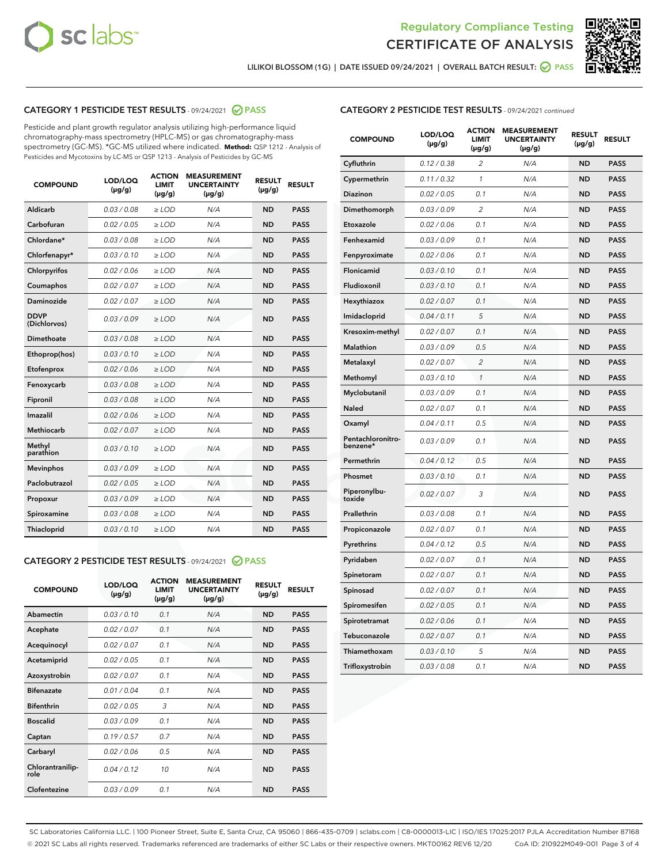



LILIKOI BLOSSOM (1G) | DATE ISSUED 09/24/2021 | OVERALL BATCH RESULT: ◎ PASS

## CATEGORY 1 PESTICIDE TEST RESULTS - 09/24/2021 2 PASS

Pesticide and plant growth regulator analysis utilizing high-performance liquid chromatography-mass spectrometry (HPLC-MS) or gas chromatography-mass spectrometry (GC-MS). \*GC-MS utilized where indicated. **Method:** QSP 1212 - Analysis of Pesticides and Mycotoxins by LC-MS or QSP 1213 - Analysis of Pesticides by GC-MS

| <b>COMPOUND</b>             | LOD/LOQ<br>$(\mu g/g)$ | <b>ACTION</b><br><b>LIMIT</b><br>$(\mu g/g)$ | <b>MEASUREMENT</b><br><b>UNCERTAINTY</b><br>$(\mu g/g)$ | <b>RESULT</b><br>$(\mu g/g)$ | <b>RESULT</b> |
|-----------------------------|------------------------|----------------------------------------------|---------------------------------------------------------|------------------------------|---------------|
| Aldicarb                    | 0.03/0.08              | $>$ LOD                                      | N/A                                                     | <b>ND</b>                    | <b>PASS</b>   |
| Carbofuran                  | 0.02 / 0.05            | $\ge$ LOD                                    | N/A                                                     | <b>ND</b>                    | <b>PASS</b>   |
| Chlordane*                  | 0.03/0.08              | $>$ LOD                                      | N/A                                                     | <b>ND</b>                    | <b>PASS</b>   |
| Chlorfenapyr*               | 0.03 / 0.10            | $\ge$ LOD                                    | N/A                                                     | <b>ND</b>                    | <b>PASS</b>   |
| Chlorpyrifos                | 0.02 / 0.06            | $\ge$ LOD                                    | N/A                                                     | <b>ND</b>                    | <b>PASS</b>   |
| Coumaphos                   | 0.02 / 0.07            | $\ge$ LOD                                    | N/A                                                     | <b>ND</b>                    | <b>PASS</b>   |
| Daminozide                  | 0.02 / 0.07            | $\ge$ LOD                                    | N/A                                                     | <b>ND</b>                    | <b>PASS</b>   |
| <b>DDVP</b><br>(Dichlorvos) | 0.03/0.09              | $\ge$ LOD                                    | N/A                                                     | <b>ND</b>                    | <b>PASS</b>   |
| <b>Dimethoate</b>           | 0.03/0.08              | $\ge$ LOD                                    | N/A                                                     | <b>ND</b>                    | <b>PASS</b>   |
| Ethoprop(hos)               | 0.03/0.10              | $\ge$ LOD                                    | N/A                                                     | <b>ND</b>                    | <b>PASS</b>   |
| Etofenprox                  | 0.02 / 0.06            | $\ge$ LOD                                    | N/A                                                     | <b>ND</b>                    | <b>PASS</b>   |
| Fenoxycarb                  | 0.03 / 0.08            | $\ge$ LOD                                    | N/A                                                     | <b>ND</b>                    | <b>PASS</b>   |
| Fipronil                    | 0.03/0.08              | $>$ LOD                                      | N/A                                                     | <b>ND</b>                    | <b>PASS</b>   |
| Imazalil                    | 0.02 / 0.06            | $\ge$ LOD                                    | N/A                                                     | <b>ND</b>                    | <b>PASS</b>   |
| Methiocarb                  | 0.02 / 0.07            | $\ge$ LOD                                    | N/A                                                     | <b>ND</b>                    | <b>PASS</b>   |
| Methyl<br>parathion         | 0.03/0.10              | $\ge$ LOD                                    | N/A                                                     | <b>ND</b>                    | <b>PASS</b>   |
| <b>Mevinphos</b>            | 0.03/0.09              | $\ge$ LOD                                    | N/A                                                     | <b>ND</b>                    | <b>PASS</b>   |
| Paclobutrazol               | 0.02 / 0.05            | $>$ LOD                                      | N/A                                                     | <b>ND</b>                    | <b>PASS</b>   |
| Propoxur                    | 0.03/0.09              | $\ge$ LOD                                    | N/A                                                     | <b>ND</b>                    | <b>PASS</b>   |
| Spiroxamine                 | 0.03 / 0.08            | $\ge$ LOD                                    | N/A                                                     | <b>ND</b>                    | <b>PASS</b>   |
| Thiacloprid                 | 0.03/0.10              | $\ge$ LOD                                    | N/A                                                     | <b>ND</b>                    | <b>PASS</b>   |
|                             |                        |                                              |                                                         |                              |               |

#### CATEGORY 2 PESTICIDE TEST RESULTS - 09/24/2021 @ PASS

| <b>COMPOUND</b>          | LOD/LOO<br>$(\mu g/g)$ | <b>ACTION</b><br>LIMIT<br>$(\mu g/g)$ | <b>MEASUREMENT</b><br><b>UNCERTAINTY</b><br>$(\mu g/g)$ | <b>RESULT</b><br>$(\mu g/g)$ | <b>RESULT</b> |  |
|--------------------------|------------------------|---------------------------------------|---------------------------------------------------------|------------------------------|---------------|--|
| Abamectin                | 0.03/0.10              | 0.1                                   | N/A                                                     | <b>ND</b>                    | <b>PASS</b>   |  |
| Acephate                 | 0.02/0.07              | 0.1                                   | N/A                                                     | <b>ND</b>                    | <b>PASS</b>   |  |
| Acequinocyl              | 0.02/0.07              | 0.1                                   | N/A                                                     | <b>ND</b>                    | <b>PASS</b>   |  |
| Acetamiprid              | 0.02 / 0.05            | 0.1                                   | N/A                                                     | <b>ND</b>                    | <b>PASS</b>   |  |
| Azoxystrobin             | 0.02/0.07              | 0.1                                   | N/A                                                     | <b>ND</b>                    | <b>PASS</b>   |  |
| <b>Bifenazate</b>        | 0.01 / 0.04            | 0.1                                   | N/A                                                     | <b>ND</b>                    | <b>PASS</b>   |  |
| <b>Bifenthrin</b>        | 0.02 / 0.05            | 3                                     | N/A                                                     | <b>ND</b>                    | <b>PASS</b>   |  |
| <b>Boscalid</b>          | 0.03/0.09              | 0.1                                   | N/A                                                     | <b>ND</b>                    | <b>PASS</b>   |  |
| Captan                   | 0.19/0.57              | 0.7                                   | N/A                                                     | <b>ND</b>                    | <b>PASS</b>   |  |
| Carbaryl                 | 0.02/0.06              | 0.5                                   | N/A                                                     | <b>ND</b>                    | <b>PASS</b>   |  |
| Chlorantranilip-<br>role | 0.04/0.12              | 10                                    | N/A                                                     | <b>ND</b>                    | <b>PASS</b>   |  |
| Clofentezine             | 0.03/0.09              | 0.1                                   | N/A                                                     | <b>ND</b>                    | <b>PASS</b>   |  |

| <b>CATEGORY 2 PESTICIDE TEST RESULTS</b> - 09/24/2021 continued |  |
|-----------------------------------------------------------------|--|
|-----------------------------------------------------------------|--|

| <b>COMPOUND</b>               | LOD/LOQ<br>(µg/g) | <b>ACTION</b><br>LIMIT<br>$(\mu g/g)$ | <b>MEASUREMENT</b><br><b>UNCERTAINTY</b><br>$(\mu g/g)$ | <b>RESULT</b><br>(µg/g) | <b>RESULT</b> |
|-------------------------------|-------------------|---------------------------------------|---------------------------------------------------------|-------------------------|---------------|
| Cyfluthrin                    | 0.12 / 0.38       | 2                                     | N/A                                                     | <b>ND</b>               | <b>PASS</b>   |
| Cypermethrin                  | 0.11 / 0.32       | $\mathcal{I}$                         | N/A                                                     | <b>ND</b>               | <b>PASS</b>   |
| Diazinon                      | 0.02 / 0.05       | 0.1                                   | N/A                                                     | <b>ND</b>               | <b>PASS</b>   |
| Dimethomorph                  | 0.03 / 0.09       | 2                                     | N/A                                                     | <b>ND</b>               | <b>PASS</b>   |
| Etoxazole                     | 0.02 / 0.06       | 0.1                                   | N/A                                                     | <b>ND</b>               | <b>PASS</b>   |
| Fenhexamid                    | 0.03 / 0.09       | 0.1                                   | N/A                                                     | <b>ND</b>               | <b>PASS</b>   |
| Fenpyroximate                 | 0.02 / 0.06       | 0.1                                   | N/A                                                     | <b>ND</b>               | <b>PASS</b>   |
| Flonicamid                    | 0.03 / 0.10       | 0.1                                   | N/A                                                     | <b>ND</b>               | <b>PASS</b>   |
| Fludioxonil                   | 0.03 / 0.10       | 0.1                                   | N/A                                                     | <b>ND</b>               | <b>PASS</b>   |
| Hexythiazox                   | 0.02 / 0.07       | 0.1                                   | N/A                                                     | <b>ND</b>               | <b>PASS</b>   |
| Imidacloprid                  | 0.04 / 0.11       | 5                                     | N/A                                                     | <b>ND</b>               | <b>PASS</b>   |
| Kresoxim-methyl               | 0.02 / 0.07       | 0.1                                   | N/A                                                     | <b>ND</b>               | <b>PASS</b>   |
| Malathion                     | 0.03 / 0.09       | 0.5                                   | N/A                                                     | <b>ND</b>               | <b>PASS</b>   |
| Metalaxyl                     | 0.02 / 0.07       | $\overline{c}$                        | N/A                                                     | <b>ND</b>               | <b>PASS</b>   |
| Methomyl                      | 0.03 / 0.10       | $\mathcal{I}$                         | N/A                                                     | <b>ND</b>               | <b>PASS</b>   |
| Myclobutanil                  | 0.03 / 0.09       | 0.1                                   | N/A                                                     | <b>ND</b>               | <b>PASS</b>   |
| Naled                         | 0.02 / 0.07       | 0.1                                   | N/A                                                     | <b>ND</b>               | <b>PASS</b>   |
| Oxamyl                        | 0.04 / 0.11       | 0.5                                   | N/A                                                     | <b>ND</b>               | <b>PASS</b>   |
| Pentachloronitro-<br>benzene* | 0.03/0.09         | 0.1                                   | N/A                                                     | <b>ND</b>               | <b>PASS</b>   |
| Permethrin                    | 0.04 / 0.12       | 0.5                                   | N/A                                                     | <b>ND</b>               | <b>PASS</b>   |
| Phosmet                       | 0.03 / 0.10       | 0.1                                   | N/A                                                     | <b>ND</b>               | <b>PASS</b>   |
| Piperonylbu-<br>toxide        | 0.02 / 0.07       | 3                                     | N/A                                                     | <b>ND</b>               | <b>PASS</b>   |
| Prallethrin                   | 0.03 / 0.08       | 0.1                                   | N/A                                                     | <b>ND</b>               | <b>PASS</b>   |
| Propiconazole                 | 0.02 / 0.07       | 0.1                                   | N/A                                                     | <b>ND</b>               | <b>PASS</b>   |
| Pyrethrins                    | 0.04 / 0.12       | 0.5                                   | N/A                                                     | <b>ND</b>               | <b>PASS</b>   |
| Pyridaben                     | 0.02 / 0.07       | 0.1                                   | N/A                                                     | <b>ND</b>               | <b>PASS</b>   |
| Spinetoram                    | 0.02 / 0.07       | 0.1                                   | N/A                                                     | <b>ND</b>               | <b>PASS</b>   |
| Spinosad                      | 0.02 / 0.07       | 0.1                                   | N/A                                                     | <b>ND</b>               | <b>PASS</b>   |
| Spiromesifen                  | 0.02 / 0.05       | 0.1                                   | N/A                                                     | <b>ND</b>               | <b>PASS</b>   |
| Spirotetramat                 | 0.02 / 0.06       | 0.1                                   | N/A                                                     | <b>ND</b>               | <b>PASS</b>   |
| Tebuconazole                  | 0.02 / 0.07       | 0.1                                   | N/A                                                     | <b>ND</b>               | <b>PASS</b>   |
| Thiamethoxam                  | 0.03 / 0.10       | 5                                     | N/A                                                     | <b>ND</b>               | <b>PASS</b>   |
| Trifloxystrobin               | 0.03 / 0.08       | 0.1                                   | N/A                                                     | <b>ND</b>               | <b>PASS</b>   |

SC Laboratories California LLC. | 100 Pioneer Street, Suite E, Santa Cruz, CA 95060 | 866-435-0709 | sclabs.com | C8-0000013-LIC | ISO/IES 17025:2017 PJLA Accreditation Number 87168 © 2021 SC Labs all rights reserved. Trademarks referenced are trademarks of either SC Labs or their respective owners. MKT00162 REV6 12/20 CoA ID: 210922M049-001 Page 3 of 4